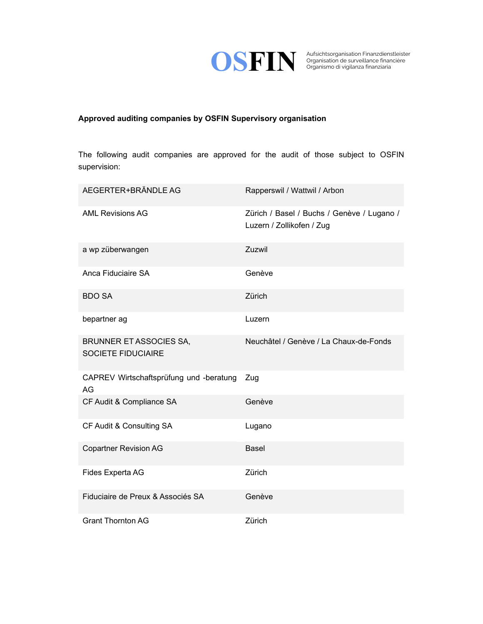

Organisation de surveillance financière Organismo di vigilanza finanziaria

## **Approved auditing companies by OSFIN Supervisory organisation**

The following audit companies are approved for the audit of those subject to OSFIN supervision:

| AEGERTER+BRÄNDLE AG                                         | Rapperswil / Wattwil / Arbon                                            |
|-------------------------------------------------------------|-------------------------------------------------------------------------|
| <b>AML Revisions AG</b>                                     | Zürich / Basel / Buchs / Genève / Lugano /<br>Luzern / Zollikofen / Zug |
| a wp züberwangen                                            | Zuzwil                                                                  |
| Anca Fiduciaire SA                                          | Genève                                                                  |
| <b>BDO SA</b>                                               | Zürich                                                                  |
| bepartner ag                                                | Luzern                                                                  |
| <b>BRUNNER ET ASSOCIES SA,</b><br><b>SOCIETE FIDUCIAIRE</b> | Neuchâtel / Genève / La Chaux-de-Fonds                                  |
| CAPREV Wirtschaftsprüfung und -beratung<br>AG               | Zug                                                                     |
| CF Audit & Compliance SA                                    | Genève                                                                  |
| CF Audit & Consulting SA                                    | Lugano                                                                  |
| <b>Copartner Revision AG</b>                                | <b>Basel</b>                                                            |
| Fides Experta AG                                            | Zürich                                                                  |
| Fiduciaire de Preux & Associés SA                           | Genève                                                                  |
| <b>Grant Thornton AG</b>                                    | Zürich                                                                  |